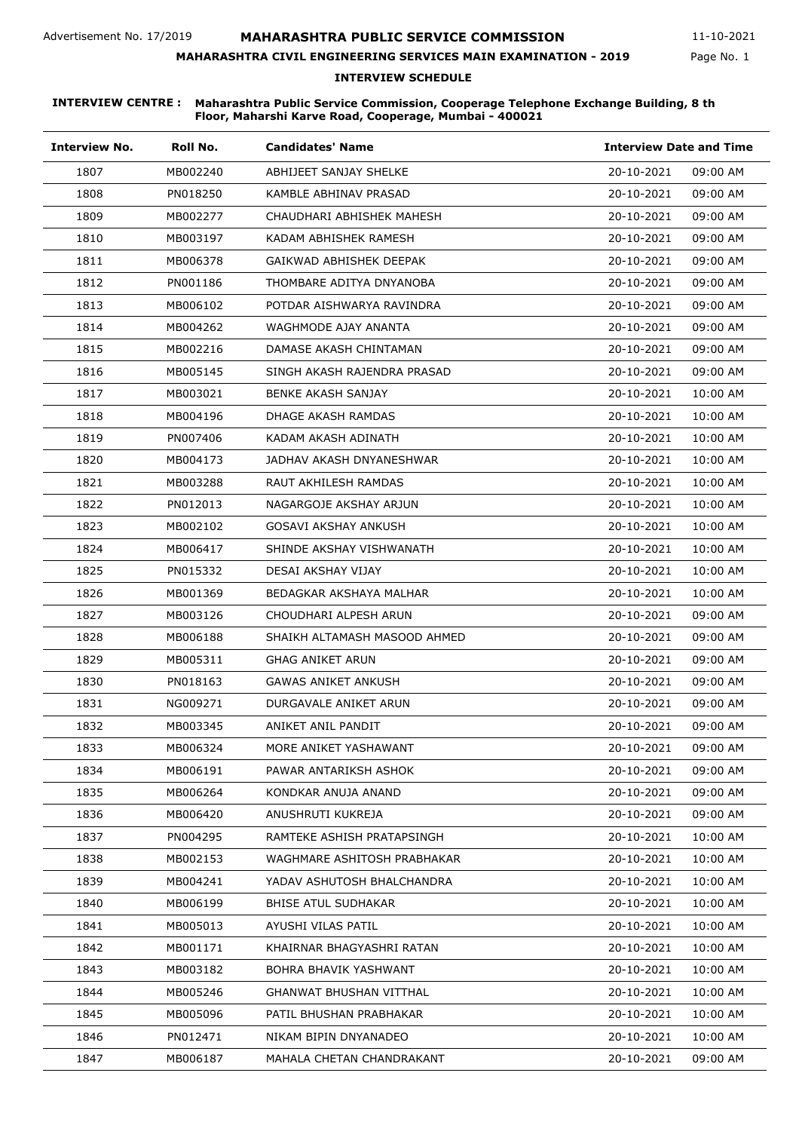Page No. 1 11-10-2021

### **MAHARASHTRA CIVIL ENGINEERING SERVICES MAIN EXAMINATION - 2019**

### **INTERVIEW SCHEDULE**

| <b>Interview No.</b> | Roll No. | <b>Candidates' Name</b>      | <b>Interview Date and Time</b> |
|----------------------|----------|------------------------------|--------------------------------|
| 1807                 | MB002240 | ABHIJEET SANJAY SHELKE       | 20-10-2021<br>09:00 AM         |
| 1808                 | PN018250 | KAMBLE ABHINAV PRASAD        | 20-10-2021<br>09:00 AM         |
| 1809                 | MB002277 | CHAUDHARI ABHISHEK MAHESH    | 20-10-2021<br>09:00 AM         |
| 1810                 | MB003197 | KADAM ABHISHEK RAMESH        | 20-10-2021<br>09:00 AM         |
| 1811                 | MB006378 | GAIKWAD ABHISHEK DEEPAK      | 20-10-2021<br>09:00 AM         |
| 1812                 | PN001186 | THOMBARE ADITYA DNYANOBA     | 20-10-2021<br>09:00 AM         |
| 1813                 | MB006102 | POTDAR AISHWARYA RAVINDRA    | 20-10-2021<br>09:00 AM         |
| 1814                 | MB004262 | WAGHMODE AJAY ANANTA         | 20-10-2021<br>09:00 AM         |
| 1815                 | MB002216 | DAMASE AKASH CHINTAMAN       | 20-10-2021<br>09:00 AM         |
| 1816                 | MB005145 | SINGH AKASH RAJENDRA PRASAD  | 20-10-2021<br>09:00 AM         |
| 1817                 | MB003021 | BENKE AKASH SANJAY           | 20-10-2021<br>10:00 AM         |
| 1818                 | MB004196 | DHAGE AKASH RAMDAS           | 20-10-2021<br>10:00 AM         |
| 1819                 | PN007406 | KADAM AKASH ADINATH          | 20-10-2021<br>10:00 AM         |
| 1820                 | MB004173 | JADHAV AKASH DNYANESHWAR     | 20-10-2021<br>10:00 AM         |
| 1821                 | MB003288 | RAUT AKHILESH RAMDAS         | 20-10-2021<br>10:00 AM         |
| 1822                 | PN012013 | NAGARGOJE AKSHAY ARJUN       | 20-10-2021<br>10:00 AM         |
| 1823                 | MB002102 | GOSAVI AKSHAY ANKUSH         | 20-10-2021<br>10:00 AM         |
| 1824                 | MB006417 | SHINDE AKSHAY VISHWANATH     | 20-10-2021<br>10:00 AM         |
| 1825                 | PN015332 | DESAI AKSHAY VIJAY           | 20-10-2021<br>10:00 AM         |
| 1826                 | MB001369 | BEDAGKAR AKSHAYA MALHAR      | 20-10-2021<br>10:00 AM         |
| 1827                 | MB003126 | CHOUDHARI ALPESH ARUN        | 20-10-2021<br>09:00 AM         |
| 1828                 | MB006188 | SHAIKH ALTAMASH MASOOD AHMED | 20-10-2021<br>09:00 AM         |
| 1829                 | MB005311 | GHAG ANIKET ARUN             | 20-10-2021<br>09:00 AM         |
| 1830                 | PN018163 | GAWAS ANIKET ANKUSH          | 20-10-2021<br>09:00 AM         |
| 1831                 | NG009271 | DURGAVALE ANIKET ARUN        | 20-10-2021<br>09:00 AM         |
| 1832                 | MB003345 | ANIKET ANIL PANDIT           | 20-10-2021<br>09:00 AM         |
| 1833                 | MB006324 | MORE ANIKET YASHAWANT        | 20-10-2021<br>09:00 AM         |
| 1834                 | MB006191 | PAWAR ANTARIKSH ASHOK        | 20-10-2021<br>09:00 AM         |
| 1835                 | MB006264 | KONDKAR ANUJA ANAND          | 20-10-2021<br>09:00 AM         |
| 1836                 | MB006420 | ANUSHRUTI KUKREJA            | 20-10-2021<br>09:00 AM         |
| 1837                 | PN004295 | RAMTEKE ASHISH PRATAPSINGH   | 20-10-2021<br>10:00 AM         |
| 1838                 | MB002153 | WAGHMARE ASHITOSH PRABHAKAR  | 20-10-2021<br>10:00 AM         |
| 1839                 | MB004241 | YADAV ASHUTOSH BHALCHANDRA   | 20-10-2021<br>10:00 AM         |
| 1840                 | MB006199 | <b>BHISE ATUL SUDHAKAR</b>   | 20-10-2021<br>10:00 AM         |
| 1841                 | MB005013 | AYUSHI VILAS PATIL           | 20-10-2021<br>10:00 AM         |
| 1842                 | MB001171 | KHAIRNAR BHAGYASHRI RATAN    | 20-10-2021<br>10:00 AM         |
| 1843                 | MB003182 | BOHRA BHAVIK YASHWANT        | 20-10-2021<br>10:00 AM         |
| 1844                 | MB005246 | GHANWAT BHUSHAN VITTHAL      | 20-10-2021<br>10:00 AM         |
| 1845                 | MB005096 | PATIL BHUSHAN PRABHAKAR      | 20-10-2021<br>10:00 AM         |
| 1846                 | PN012471 | NIKAM BIPIN DNYANADEO        | 20-10-2021<br>10:00 AM         |
| 1847                 | MB006187 | MAHALA CHETAN CHANDRAKANT    | 20-10-2021<br>09:00 AM         |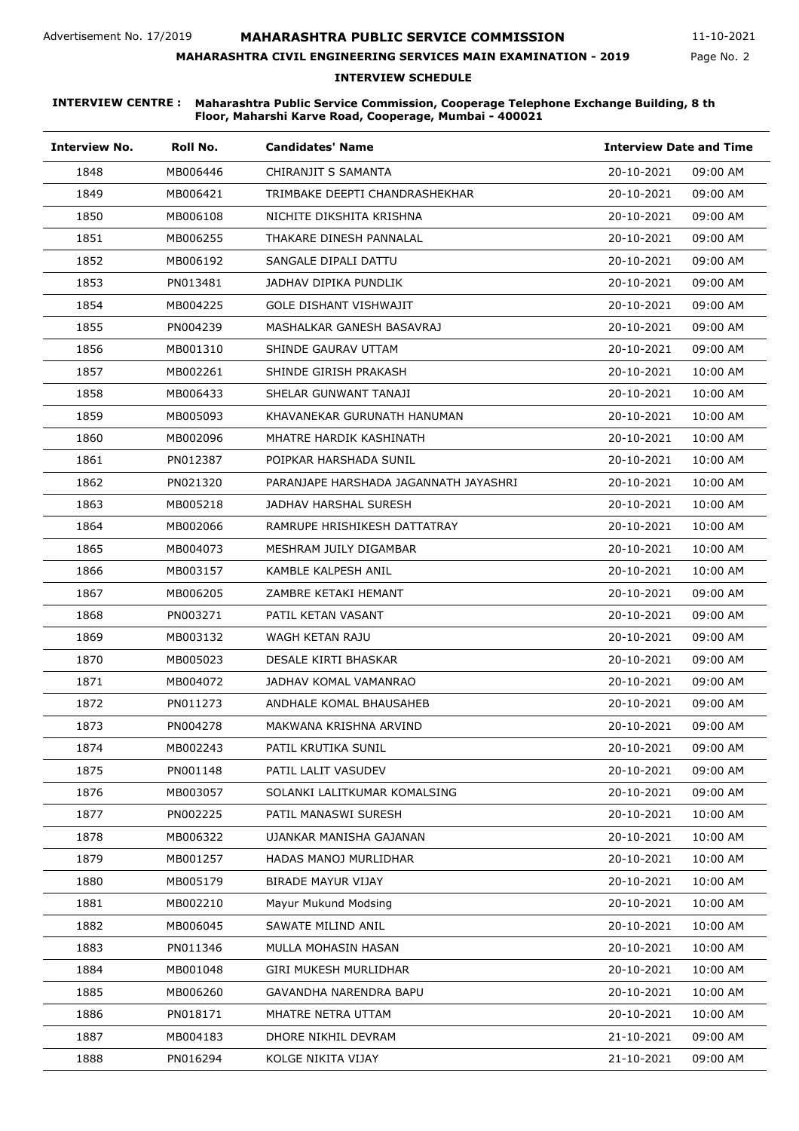Page No. 2 11-10-2021

# **MAHARASHTRA CIVIL ENGINEERING SERVICES MAIN EXAMINATION - 2019**

### **INTERVIEW SCHEDULE**

| <b>Interview No.</b> | Roll No. | <b>Candidates' Name</b>               |            | <b>Interview Date and Time</b> |  |
|----------------------|----------|---------------------------------------|------------|--------------------------------|--|
| 1848                 | MB006446 | CHIRANJIT S SAMANTA                   | 20-10-2021 | 09:00 AM                       |  |
| 1849                 | MB006421 | TRIMBAKE DEEPTI CHANDRASHEKHAR        | 20-10-2021 | 09:00 AM                       |  |
| 1850                 | MB006108 | NICHITE DIKSHITA KRISHNA              | 20-10-2021 | 09:00 AM                       |  |
| 1851                 | MB006255 | THAKARE DINESH PANNALAL               | 20-10-2021 | 09:00 AM                       |  |
| 1852                 | MB006192 | SANGALE DIPALI DATTU                  | 20-10-2021 | 09:00 AM                       |  |
| 1853                 | PN013481 | JADHAV DIPIKA PUNDLIK                 | 20-10-2021 | 09:00 AM                       |  |
| 1854                 | MB004225 | GOLE DISHANT VISHWAJIT                | 20-10-2021 | 09:00 AM                       |  |
| 1855                 | PN004239 | MASHALKAR GANESH BASAVRAJ             | 20-10-2021 | 09:00 AM                       |  |
| 1856                 | MB001310 | SHINDE GAURAV UTTAM                   | 20-10-2021 | 09:00 AM                       |  |
| 1857                 | MB002261 | SHINDE GIRISH PRAKASH                 | 20-10-2021 | 10:00 AM                       |  |
| 1858                 | MB006433 | SHELAR GUNWANT TANAJI                 | 20-10-2021 | 10:00 AM                       |  |
| 1859                 | MB005093 | KHAVANEKAR GURUNATH HANUMAN           | 20-10-2021 | 10:00 AM                       |  |
| 1860                 | MB002096 | MHATRE HARDIK KASHINATH               | 20-10-2021 | 10:00 AM                       |  |
| 1861                 | PN012387 | POIPKAR HARSHADA SUNIL                | 20-10-2021 | 10:00 AM                       |  |
| 1862                 | PN021320 | PARANJAPE HARSHADA JAGANNATH JAYASHRI | 20-10-2021 | 10:00 AM                       |  |
| 1863                 | MB005218 | JADHAV HARSHAL SURESH                 | 20-10-2021 | 10:00 AM                       |  |
| 1864                 | MB002066 | RAMRUPE HRISHIKESH DATTATRAY          | 20-10-2021 | 10:00 AM                       |  |
| 1865                 | MB004073 | MESHRAM JUILY DIGAMBAR                | 20-10-2021 | 10:00 AM                       |  |
| 1866                 | MB003157 | KAMBLE KALPESH ANIL                   | 20-10-2021 | 10:00 AM                       |  |
| 1867                 | MB006205 | ZAMBRE KETAKI HEMANT                  | 20-10-2021 | 09:00 AM                       |  |
| 1868                 | PN003271 | PATIL KETAN VASANT                    | 20-10-2021 | 09:00 AM                       |  |
| 1869                 | MB003132 | WAGH KETAN RAJU                       | 20-10-2021 | 09:00 AM                       |  |
| 1870                 | MB005023 | DESALE KIRTI BHASKAR                  | 20-10-2021 | 09:00 AM                       |  |
| 1871                 | MB004072 | JADHAV KOMAL VAMANRAO                 | 20-10-2021 | 09:00 AM                       |  |
| 1872                 | PN011273 | ANDHALE KOMAL BHAUSAHEB               | 20-10-2021 | 09:00 AM                       |  |
| 1873                 | PN004278 | MAKWANA KRISHNA ARVIND                | 20-10-2021 | 09:00 AM                       |  |
| 1874                 | MB002243 | PATIL KRUTIKA SUNIL                   | 20-10-2021 | 09:00 AM                       |  |
| 1875                 | PN001148 | PATIL LALIT VASUDEV                   | 20-10-2021 | 09:00 AM                       |  |
| 1876                 | MB003057 | SOLANKI LALITKUMAR KOMALSING          | 20-10-2021 | 09:00 AM                       |  |
| 1877                 | PN002225 | PATIL MANASWI SURESH                  | 20-10-2021 | 10:00 AM                       |  |
| 1878                 | MB006322 | UJANKAR MANISHA GAJANAN               | 20-10-2021 | 10:00 AM                       |  |
| 1879                 | MB001257 | HADAS MANOJ MURLIDHAR                 | 20-10-2021 | 10:00 AM                       |  |
| 1880                 | MB005179 | <b>BIRADE MAYUR VIJAY</b>             | 20-10-2021 | 10:00 AM                       |  |
| 1881                 | MB002210 | Mayur Mukund Modsing                  | 20-10-2021 | 10:00 AM                       |  |
| 1882                 | MB006045 | SAWATE MILIND ANIL                    | 20-10-2021 | 10:00 AM                       |  |
| 1883                 | PN011346 | MULLA MOHASIN HASAN                   | 20-10-2021 | 10:00 AM                       |  |
| 1884                 | MB001048 | GIRI MUKESH MURLIDHAR                 | 20-10-2021 | 10:00 AM                       |  |
| 1885                 | MB006260 | GAVANDHA NARENDRA BAPU                | 20-10-2021 | 10:00 AM                       |  |
| 1886                 | PN018171 | MHATRE NETRA UTTAM                    | 20-10-2021 | 10:00 AM                       |  |
| 1887                 | MB004183 | DHORE NIKHIL DEVRAM                   | 21-10-2021 | 09:00 AM                       |  |
| 1888                 | PN016294 | KOLGE NIKITA VIJAY                    | 21-10-2021 | 09:00 AM                       |  |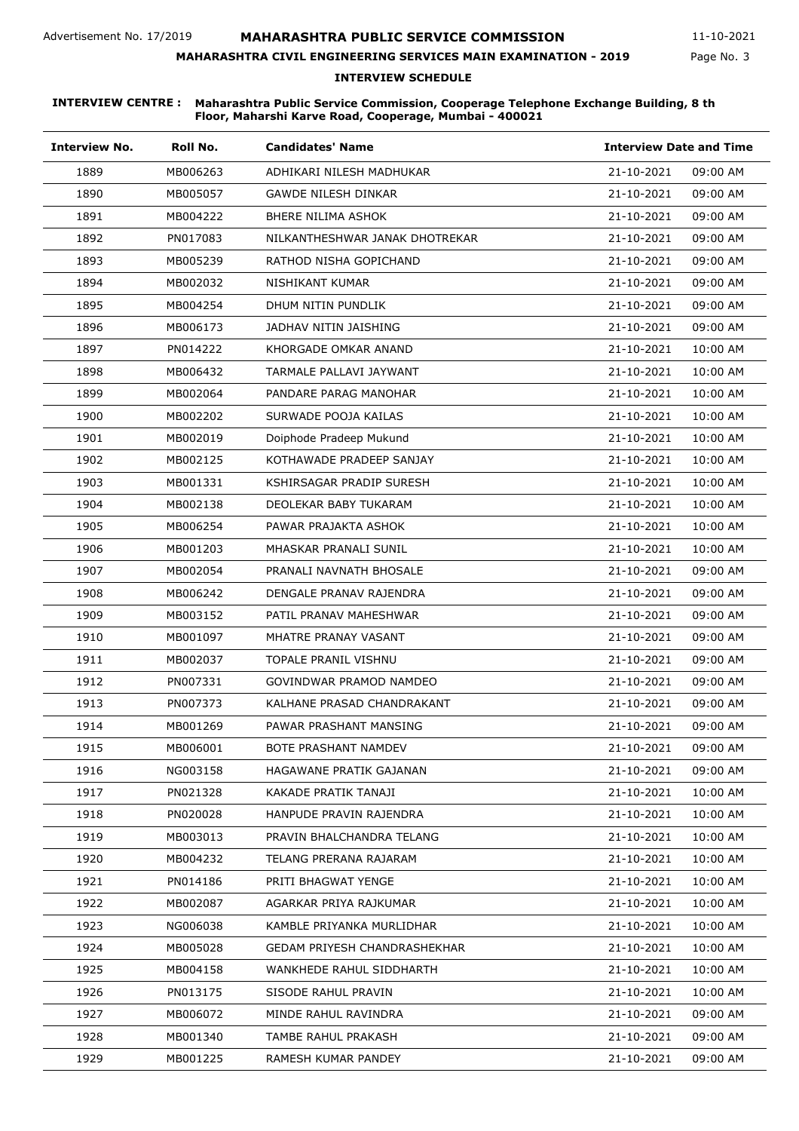Page No. 3 11-10-2021

# **MAHARASHTRA CIVIL ENGINEERING SERVICES MAIN EXAMINATION - 2019**

### **INTERVIEW SCHEDULE**

| <b>Interview No.</b> | Roll No. | <b>Candidates' Name</b>             | <b>Interview Date and Time</b> |
|----------------------|----------|-------------------------------------|--------------------------------|
| 1889                 | MB006263 | ADHIKARI NILESH MADHUKAR            | 21-10-2021<br>09:00 AM         |
| 1890                 | MB005057 | GAWDE NILESH DINKAR                 | 21-10-2021<br>09:00 AM         |
| 1891                 | MB004222 | BHERE NILIMA ASHOK                  | 21-10-2021<br>09:00 AM         |
| 1892                 | PN017083 | NILKANTHESHWAR JANAK DHOTREKAR      | 21-10-2021<br>09:00 AM         |
| 1893                 | MB005239 | RATHOD NISHA GOPICHAND              | 21-10-2021<br>09:00 AM         |
| 1894                 | MB002032 | NISHIKANT KUMAR                     | 21-10-2021<br>09:00 AM         |
| 1895                 | MB004254 | DHUM NITIN PUNDLIK                  | 21-10-2021<br>09:00 AM         |
| 1896                 | MB006173 | JADHAV NITIN JAISHING               | 21-10-2021<br>09:00 AM         |
| 1897                 | PN014222 | KHORGADE OMKAR ANAND                | 21-10-2021<br>10:00 AM         |
| 1898                 | MB006432 | TARMALE PALLAVI JAYWANT             | 21-10-2021<br>10:00 AM         |
| 1899                 | MB002064 | PANDARE PARAG MANOHAR               | 21-10-2021<br>10:00 AM         |
| 1900                 | MB002202 | SURWADE POOJA KAILAS                | 21-10-2021<br>10:00 AM         |
| 1901                 | MB002019 | Doiphode Pradeep Mukund             | 21-10-2021<br>10:00 AM         |
| 1902                 | MB002125 | KOTHAWADE PRADEEP SANJAY            | 21-10-2021<br>10:00 AM         |
| 1903                 | MB001331 | KSHIRSAGAR PRADIP SURESH            | 21-10-2021<br>10:00 AM         |
| 1904                 | MB002138 | DEOLEKAR BABY TUKARAM               | 21-10-2021<br>10:00 AM         |
| 1905                 | MB006254 | PAWAR PRAJAKTA ASHOK                | 21-10-2021<br>10:00 AM         |
| 1906                 | MB001203 | MHASKAR PRANALI SUNIL               | 21-10-2021<br>10:00 AM         |
| 1907                 | MB002054 | PRANALI NAVNATH BHOSALE             | 21-10-2021<br>09:00 AM         |
| 1908                 | MB006242 | DENGALE PRANAV RAJENDRA             | 21-10-2021<br>09:00 AM         |
| 1909                 | MB003152 | PATIL PRANAV MAHESHWAR              | 21-10-2021<br>09:00 AM         |
| 1910                 | MB001097 | MHATRE PRANAY VASANT                | 21-10-2021<br>09:00 AM         |
| 1911                 | MB002037 | <b>TOPALE PRANIL VISHNU</b>         | 21-10-2021<br>09:00 AM         |
| 1912                 | PN007331 | GOVINDWAR PRAMOD NAMDEO             | 21-10-2021<br>09:00 AM         |
| 1913                 | PN007373 | KALHANE PRASAD CHANDRAKANT          | 21-10-2021<br>09:00 AM         |
| 1914                 | MB001269 | PAWAR PRASHANT MANSING              | 21-10-2021<br>09:00 AM         |
| 1915                 | MB006001 | BOTE PRASHANT NAMDEV                | 21-10-2021<br>09:00 AM         |
| 1916                 | NG003158 | HAGAWANE PRATIK GAJANAN             | 21-10-2021<br>09:00 AM         |
| 1917                 | PN021328 | KAKADE PRATIK TANAJI                | 21-10-2021<br>10:00 AM         |
| 1918                 | PN020028 | HANPUDE PRAVIN RAJENDRA             | 21-10-2021<br>10:00 AM         |
| 1919                 | MB003013 | PRAVIN BHALCHANDRA TELANG           | 21-10-2021<br>10:00 AM         |
| 1920                 | MB004232 | TELANG PRERANA RAJARAM              | 21-10-2021<br>10:00 AM         |
| 1921                 | PN014186 | PRITI BHAGWAT YENGE                 | 21-10-2021<br>10:00 AM         |
| 1922                 | MB002087 | AGARKAR PRIYA RAJKUMAR              | 21-10-2021<br>10:00 AM         |
| 1923                 | NG006038 | KAMBLE PRIYANKA MURLIDHAR           | 21-10-2021<br>10:00 AM         |
| 1924                 | MB005028 | <b>GEDAM PRIYESH CHANDRASHEKHAR</b> | 21-10-2021<br>10:00 AM         |
| 1925                 | MB004158 | WANKHEDE RAHUL SIDDHARTH            | 21-10-2021<br>10:00 AM         |
| 1926                 | PN013175 | SISODE RAHUL PRAVIN                 | 21-10-2021<br>10:00 AM         |
| 1927                 | MB006072 | MINDE RAHUL RAVINDRA                | 21-10-2021<br>09:00 AM         |
| 1928                 | MB001340 | TAMBE RAHUL PRAKASH                 | 21-10-2021<br>09:00 AM         |
| 1929                 | MB001225 | RAMESH KUMAR PANDEY                 | 21-10-2021<br>09:00 AM         |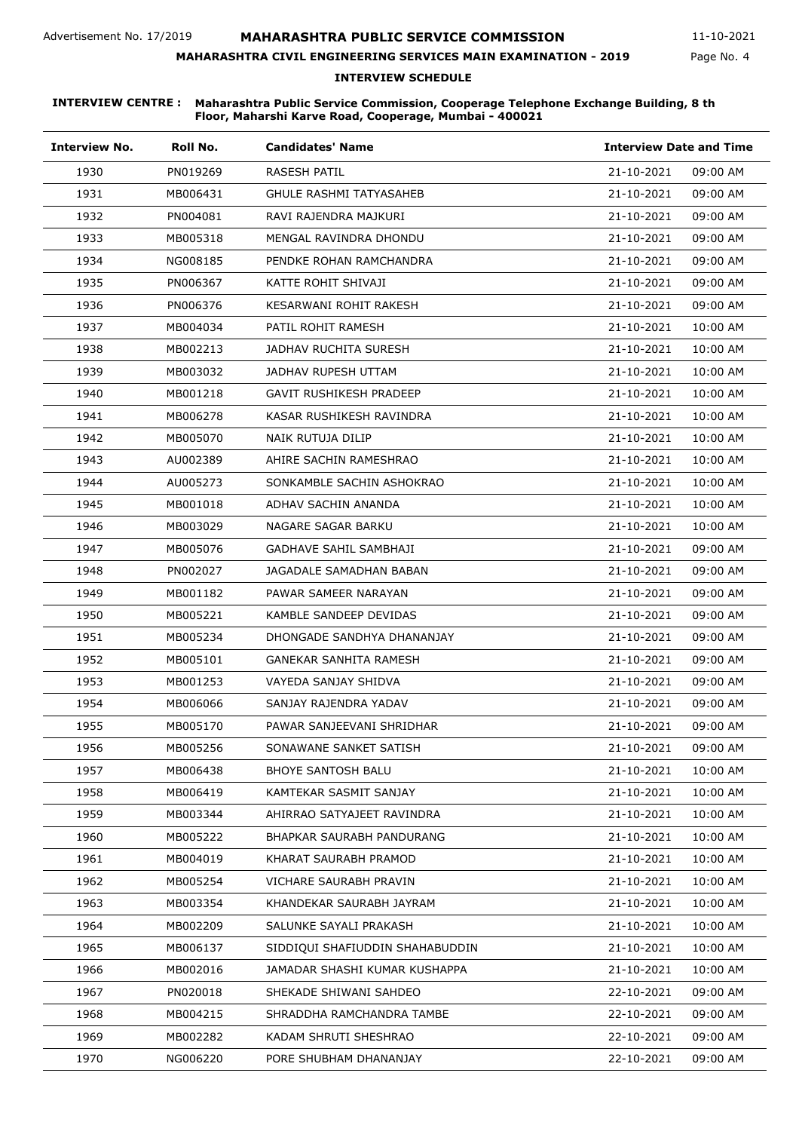Page No. 4 11-10-2021

**MAHARASHTRA CIVIL ENGINEERING SERVICES MAIN EXAMINATION - 2019**

### **INTERVIEW SCHEDULE**

| <b>Interview No.</b> | Roll No. | <b>Candidates' Name</b>         | <b>Interview Date and Time</b> |
|----------------------|----------|---------------------------------|--------------------------------|
| 1930                 | PN019269 | <b>RASESH PATIL</b>             | 21-10-2021<br>09:00 AM         |
| 1931                 | MB006431 | <b>GHULE RASHMI TATYASAHEB</b>  | 21-10-2021<br>09:00 AM         |
| 1932                 | PN004081 | RAVI RAJENDRA MAJKURI           | 21-10-2021<br>09:00 AM         |
| 1933                 | MB005318 | MENGAL RAVINDRA DHONDU          | 21-10-2021<br>09:00 AM         |
| 1934                 | NG008185 | PENDKE ROHAN RAMCHANDRA         | 21-10-2021<br>09:00 AM         |
| 1935                 | PN006367 | KATTE ROHIT SHIVAJI             | 21-10-2021<br>09:00 AM         |
| 1936                 | PN006376 | KESARWANI ROHIT RAKESH          | 21-10-2021<br>09:00 AM         |
| 1937                 | MB004034 | PATIL ROHIT RAMESH              | 21-10-2021<br>10:00 AM         |
| 1938                 | MB002213 | JADHAV RUCHITA SURESH           | 21-10-2021<br>10:00 AM         |
| 1939                 | MB003032 | JADHAV RUPESH UTTAM             | 21-10-2021<br>10:00 AM         |
| 1940                 | MB001218 | <b>GAVIT RUSHIKESH PRADEEP</b>  | 21-10-2021<br>10:00 AM         |
| 1941                 | MB006278 | KASAR RUSHIKESH RAVINDRA        | 21-10-2021<br>10:00 AM         |
| 1942                 | MB005070 | NAIK RUTUJA DILIP               | 21-10-2021<br>10:00 AM         |
| 1943                 | AU002389 | AHIRE SACHIN RAMESHRAO          | 21-10-2021<br>10:00 AM         |
| 1944                 | AU005273 | SONKAMBLE SACHIN ASHOKRAO       | 21-10-2021<br>10:00 AM         |
| 1945                 | MB001018 | ADHAV SACHIN ANANDA             | 21-10-2021<br>10:00 AM         |
| 1946                 | MB003029 | NAGARE SAGAR BARKU              | 21-10-2021<br>10:00 AM         |
| 1947                 | MB005076 | GADHAVE SAHIL SAMBHAJI          | 21-10-2021<br>09:00 AM         |
| 1948                 | PN002027 | JAGADALE SAMADHAN BABAN         | 21-10-2021<br>09:00 AM         |
| 1949                 | MB001182 | PAWAR SAMEER NARAYAN            | 21-10-2021<br>09:00 AM         |
| 1950                 | MB005221 | KAMBLE SANDEEP DEVIDAS          | 21-10-2021<br>09:00 AM         |
| 1951                 | MB005234 | DHONGADE SANDHYA DHANANJAY      | 21-10-2021<br>09:00 AM         |
| 1952                 | MB005101 | GANEKAR SANHITA RAMESH          | 21-10-2021<br>09:00 AM         |
| 1953                 | MB001253 | VAYEDA SANJAY SHIDVA            | 21-10-2021<br>09:00 AM         |
| 1954                 | MB006066 | SANJAY RAJENDRA YADAV           | 21-10-2021<br>09:00 AM         |
| 1955                 | MB005170 | PAWAR SANJEEVANI SHRIDHAR       | 21-10-2021<br>09:00 AM         |
| 1956                 | MB005256 | SONAWANE SANKET SATISH          | 21-10-2021<br>09:00 AM         |
| 1957                 | MB006438 | <b>BHOYE SANTOSH BALU</b>       | 21-10-2021<br>10:00 AM         |
| 1958                 | MB006419 | KAMTEKAR SASMIT SANJAY          | 21-10-2021<br>10:00 AM         |
| 1959                 | MB003344 | AHIRRAO SATYAJEET RAVINDRA      | 21-10-2021<br>10:00 AM         |
| 1960                 | MB005222 | BHAPKAR SAURABH PANDURANG       | 21-10-2021<br>10:00 AM         |
| 1961                 | MB004019 | KHARAT SAURABH PRAMOD           | 21-10-2021<br>10:00 AM         |
| 1962                 | MB005254 | VICHARE SAURABH PRAVIN          | 21-10-2021<br>10:00 AM         |
| 1963                 | MB003354 | KHANDEKAR SAURABH JAYRAM        | 21-10-2021<br>10:00 AM         |
| 1964                 | MB002209 | SALUNKE SAYALI PRAKASH          | 21-10-2021<br>10:00 AM         |
| 1965                 | MB006137 | SIDDIQUI SHAFIUDDIN SHAHABUDDIN | 21-10-2021<br>10:00 AM         |
| 1966                 | MB002016 | JAMADAR SHASHI KUMAR KUSHAPPA   | 21-10-2021<br>10:00 AM         |
| 1967                 | PN020018 | SHEKADE SHIWANI SAHDEO          | 22-10-2021<br>09:00 AM         |
| 1968                 | MB004215 | SHRADDHA RAMCHANDRA TAMBE       | 22-10-2021<br>09:00 AM         |
| 1969                 | MB002282 | KADAM SHRUTI SHESHRAO           | 22-10-2021<br>09:00 AM         |
| 1970                 | NG006220 | PORE SHUBHAM DHANANJAY          | 22-10-2021<br>09:00 AM         |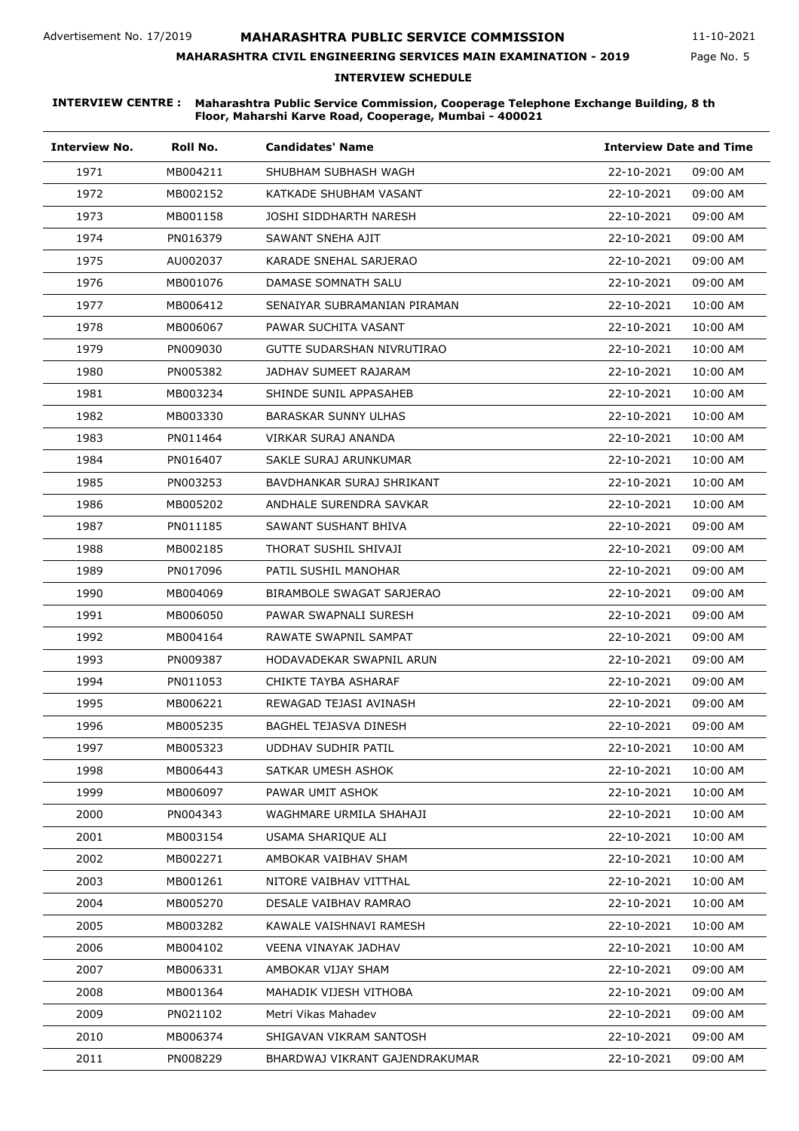Page No. 5 11-10-2021

# **MAHARASHTRA CIVIL ENGINEERING SERVICES MAIN EXAMINATION - 2019**

### **INTERVIEW SCHEDULE**

| <b>Interview No.</b> | Roll No. | <b>Candidates' Name</b>        | <b>Interview Date and Time</b> |
|----------------------|----------|--------------------------------|--------------------------------|
| 1971                 | MB004211 | SHUBHAM SUBHASH WAGH           | 22-10-2021<br>09:00 AM         |
| 1972                 | MB002152 | KATKADE SHUBHAM VASANT         | 22-10-2021<br>09:00 AM         |
| 1973                 | MB001158 | JOSHI SIDDHARTH NARESH         | 22-10-2021<br>09:00 AM         |
| 1974                 | PN016379 | SAWANT SNEHA AJIT              | 22-10-2021<br>09:00 AM         |
| 1975                 | AU002037 | KARADE SNEHAL SARJERAO         | 22-10-2021<br>09:00 AM         |
| 1976                 | MB001076 | DAMASE SOMNATH SALU            | 22-10-2021<br>09:00 AM         |
| 1977                 | MB006412 | SENAIYAR SUBRAMANIAN PIRAMAN   | 22-10-2021<br>10:00 AM         |
| 1978                 | MB006067 | PAWAR SUCHITA VASANT           | 22-10-2021<br>10:00 AM         |
| 1979                 | PN009030 | GUTTE SUDARSHAN NIVRUTIRAO     | 22-10-2021<br>10:00 AM         |
| 1980                 | PN005382 | JADHAV SUMEET RAJARAM          | 22-10-2021<br>10:00 AM         |
| 1981                 | MB003234 | SHINDE SUNIL APPASAHEB         | 22-10-2021<br>10:00 AM         |
| 1982                 | MB003330 | <b>BARASKAR SUNNY ULHAS</b>    | 22-10-2021<br>10:00 AM         |
| 1983                 | PN011464 | VIRKAR SURAJ ANANDA            | 22-10-2021<br>10:00 AM         |
| 1984                 | PN016407 | SAKLE SURAJ ARUNKUMAR          | 22-10-2021<br>10:00 AM         |
| 1985                 | PN003253 | BAVDHANKAR SURAJ SHRIKANT      | 22-10-2021<br>10:00 AM         |
| 1986                 | MB005202 | ANDHALE SURENDRA SAVKAR        | 22-10-2021<br>10:00 AM         |
| 1987                 | PN011185 | SAWANT SUSHANT BHIVA           | 22-10-2021<br>09:00 AM         |
| 1988                 | MB002185 | THORAT SUSHIL SHIVAJI          | 22-10-2021<br>09:00 AM         |
| 1989                 | PN017096 | PATIL SUSHIL MANOHAR           | 22-10-2021<br>09:00 AM         |
| 1990                 | MB004069 | BIRAMBOLE SWAGAT SARJERAO      | 22-10-2021<br>09:00 AM         |
| 1991                 | MB006050 | PAWAR SWAPNALI SURESH          | 22-10-2021<br>09:00 AM         |
| 1992                 | MB004164 | RAWATE SWAPNIL SAMPAT          | 22-10-2021<br>09:00 AM         |
| 1993                 | PN009387 | HODAVADEKAR SWAPNIL ARUN       | 22-10-2021<br>09:00 AM         |
| 1994                 | PN011053 | CHIKTE TAYBA ASHARAF           | 22-10-2021<br>09:00 AM         |
| 1995                 | MB006221 | REWAGAD TEJASI AVINASH         | 22-10-2021<br>09:00 AM         |
| 1996                 | MB005235 | BAGHEL TEJASVA DINESH          | 22-10-2021<br>09:00 AM         |
| 1997                 | MB005323 | UDDHAV SUDHIR PATIL            | 22-10-2021<br>10:00 AM         |
| 1998                 | MB006443 | SATKAR UMESH ASHOK             | 22-10-2021<br>10:00 AM         |
| 1999                 | MB006097 | PAWAR UMIT ASHOK               | 22-10-2021<br>10:00 AM         |
| 2000                 | PN004343 | WAGHMARE URMILA SHAHAJI        | 22-10-2021<br>10:00 AM         |
| 2001                 | MB003154 | USAMA SHARIOUE ALI             | 22-10-2021<br>10:00 AM         |
| 2002                 | MB002271 | AMBOKAR VAIBHAV SHAM           | 22-10-2021<br>10:00 AM         |
| 2003                 | MB001261 | NITORE VAIBHAV VITTHAL         | 22-10-2021<br>10:00 AM         |
| 2004                 | MB005270 | DESALE VAIBHAV RAMRAO          | 22-10-2021<br>10:00 AM         |
| 2005                 | MB003282 | KAWALE VAISHNAVI RAMESH        | 22-10-2021<br>10:00 AM         |
| 2006                 | MB004102 | VEENA VINAYAK JADHAV           | 22-10-2021<br>10:00 AM         |
| 2007                 | MB006331 | AMBOKAR VIJAY SHAM             | 22-10-2021<br>09:00 AM         |
| 2008                 | MB001364 | MAHADIK VIJESH VITHOBA         | 22-10-2021<br>09:00 AM         |
| 2009                 | PN021102 | Metri Vikas Mahadev            | 22-10-2021<br>09:00 AM         |
| 2010                 | MB006374 | SHIGAVAN VIKRAM SANTOSH        | 22-10-2021<br>09:00 AM         |
| 2011                 | PN008229 | BHARDWAJ VIKRANT GAJENDRAKUMAR | 22-10-2021<br>09:00 AM         |